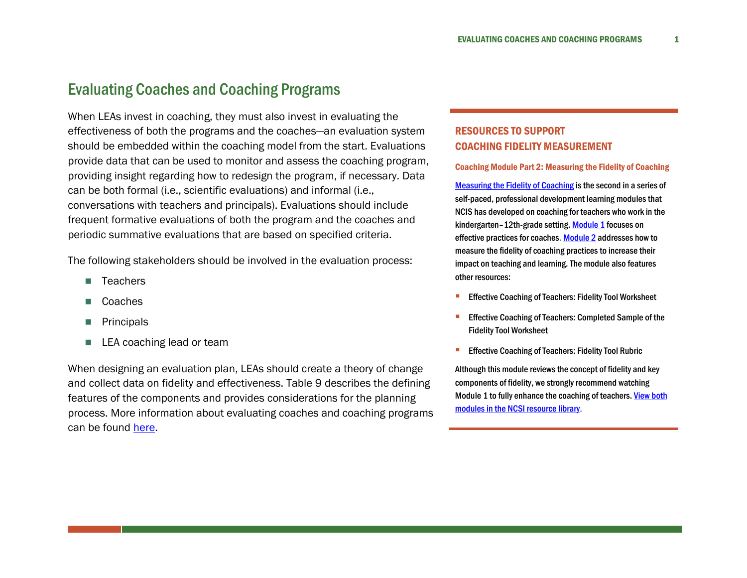## Evaluating Coaches and Coaching Programs

When LEAs invest in coaching, they must also invest in evaluating the effectiveness of both the programs and the coaches—an evaluation system should be embedded within the coaching model from the start. Evaluations provide data that can be used to monitor and assess the coaching program, providing insight regarding how to redesign the program, if necessary. Data can be both formal (i.e., scientific evaluations) and informal (i.e., conversations with teachers and principals). Evaluations should include frequent formative evaluations of both the program and the coaches and periodic summative evaluations that are based on specified criteria.

The following stakeholders should be involved in the evaluation process:

- **T**eachers
- Coaches
- **Principals**
- LEA coaching lead or team

When designing an evaluation plan, LEAs should create a theory of change and collect data on fidelity and effectiveness. Table 9 describes the defining features of the components and provides considerations for the planning process. More information about evaluating coaches and coaching programs can be found [here.](http://www.tri-association.org/uploaded/conferences/2014_costarica/handouts/cindy_harrison-evaluation_coaching_program.pdf)

## RESOURCES TO SUPPORT COACHING FIDELITY MEASUREMENT

## Coaching Module Part 2: Measuring the Fidelity of Coaching

[Measuring the Fidelity of Coaching](https://wested.us11.list-manage.com/track/click?u=124d54c6ffba47617c0195645&id=568136c4fd&e=04517e62cf) is the second in a series of self-paced, professional development learning modules that NCIS has developed on coaching for teachers who work in the kindergarten–12th-grade setting[. Module 1](https://wested.us11.list-manage.com/track/click?u=124d54c6ffba47617c0195645&id=8499d658ab&e=04517e62cf) focuses on effective practices for coaches[. Module 2](https://wested.us11.list-manage.com/track/click?u=124d54c6ffba47617c0195645&id=f6c06b50d0&e=04517e62cf) addresses how to measure the fidelity of coaching practices to increase their impact on teaching and learning. The module also features other resources:

- [Effective Coaching of Teachers: Fidelity Tool Worksheet](https://wested.us11.list-manage.com/track/click?u=124d54c6ffba47617c0195645&id=98eab0ac80&e=04517e62cf)
- [Effective Coaching of Teachers: Completed Sample of the](https://wested.us11.list-manage.com/track/click?u=124d54c6ffba47617c0195645&id=c77e69ba4b&e=04517e62cf)  [Fidelity Tool Worksheet](https://wested.us11.list-manage.com/track/click?u=124d54c6ffba47617c0195645&id=c77e69ba4b&e=04517e62cf)
- [Effective Coaching of Teachers: Fidelity Tool Rubric](https://wested.us11.list-manage.com/track/click?u=124d54c6ffba47617c0195645&id=5555d58fb2&e=04517e62cf)

Although this module reviews the concept of fidelity and key components of fidelity, we strongly recommend watching Module 1 to fully enhance the coaching of teachers. View both [modules in the NCSI resource library](https://wested.us11.list-manage.com/track/click?u=124d54c6ffba47617c0195645&id=9cf17610bb&e=04517e62cf).